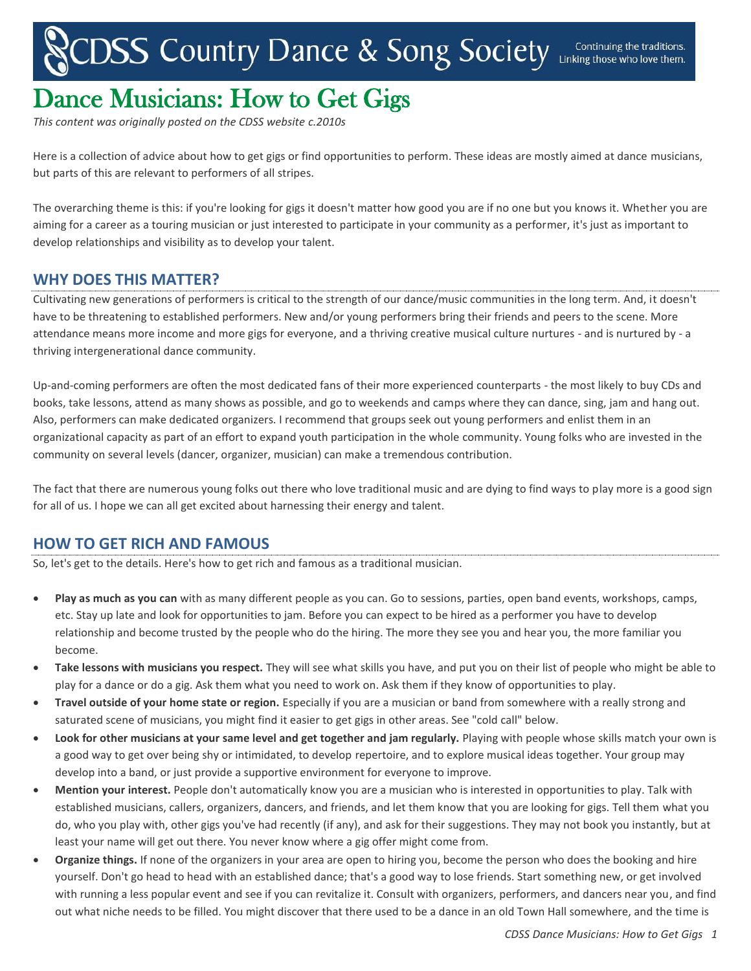## CDSS Country Dance & Song Society Linking those who love them.

## Dance Musicians: How to Get Gigs

*This content was originally posted on the CDSS website c.2010s*

Here is a collection of advice about how to get gigs or find opportunities to perform. These ideas are mostly aimed at dance musicians, but parts of this are relevant to performers of all stripes.

The overarching theme is this: if you're looking for gigs it doesn't matter how good you are if no one but you knows it. Whether you are aiming for a career as a touring musician or just interested to participate in your community as a performer, it's just as important to develop relationships and visibility as to develop your talent.

## **WHY DOES THIS MATTER?**

Cultivating new generations of performers is critical to the strength of our dance/music communities in the long term. And, it doesn't have to be threatening to established performers. New and/or young performers bring their friends and peers to the scene. More attendance means more income and more gigs for everyone, and a thriving creative musical culture nurtures - and is nurtured by - a thriving intergenerational dance community.

Up-and-coming performers are often the most dedicated fans of their more experienced counterparts - the most likely to buy CDs and books, take lessons, attend as many shows as possible, and go to weekends and camps where they can dance, sing, jam and hang out. Also, performers can make dedicated organizers. I recommend that groups seek out young performers and enlist them in an organizational capacity as part of an effort to expand youth participation in the whole community. Young folks who are invested in the community on several levels (dancer, organizer, musician) can make a tremendous contribution.

The fact that there are numerous young folks out there who love traditional music and are dying to find ways to play more is a good sign for all of us. I hope we can all get excited about harnessing their energy and talent.

## **HOW TO GET RICH AND FAMOUS**

So, let's get to the details. Here's how to get rich and famous as a traditional musician.

- **Play as much as you can** with as many different people as you can. Go to sessions, parties, open band events, workshops, camps, etc. Stay up late and look for opportunities to jam. Before you can expect to be hired as a performer you have to develop relationship and become trusted by the people who do the hiring. The more they see you and hear you, the more familiar you become.
- **Take lessons with musicians you respect.** They will see what skills you have, and put you on their list of people who might be able to play for a dance or do a gig. Ask them what you need to work on. Ask them if they know of opportunities to play.
- **Travel outside of your home state or region.** Especially if you are a musician or band from somewhere with a really strong and saturated scene of musicians, you might find it easier to get gigs in other areas. See "cold call" below.
- **Look for other musicians at your same level and get together and jam regularly.** Playing with people whose skills match your own is a good way to get over being shy or intimidated, to develop repertoire, and to explore musical ideas together. Your group may develop into a band, or just provide a supportive environment for everyone to improve.
- **Mention your interest.** People don't automatically know you are a musician who is interested in opportunities to play. Talk with established musicians, callers, organizers, dancers, and friends, and let them know that you are looking for gigs. Tell them what you do, who you play with, other gigs you've had recently (if any), and ask for their suggestions. They may not book you instantly, but at least your name will get out there. You never know where a gig offer might come from.
- **Organize things.** If none of the organizers in your area are open to hiring you, become the person who does the booking and hire yourself. Don't go head to head with an established dance; that's a good way to lose friends. Start something new, or get involved with running a less popular event and see if you can revitalize it. Consult with organizers, performers, and dancers near you, and find out what niche needs to be filled. You might discover that there used to be a dance in an old Town Hall somewhere, and the time is